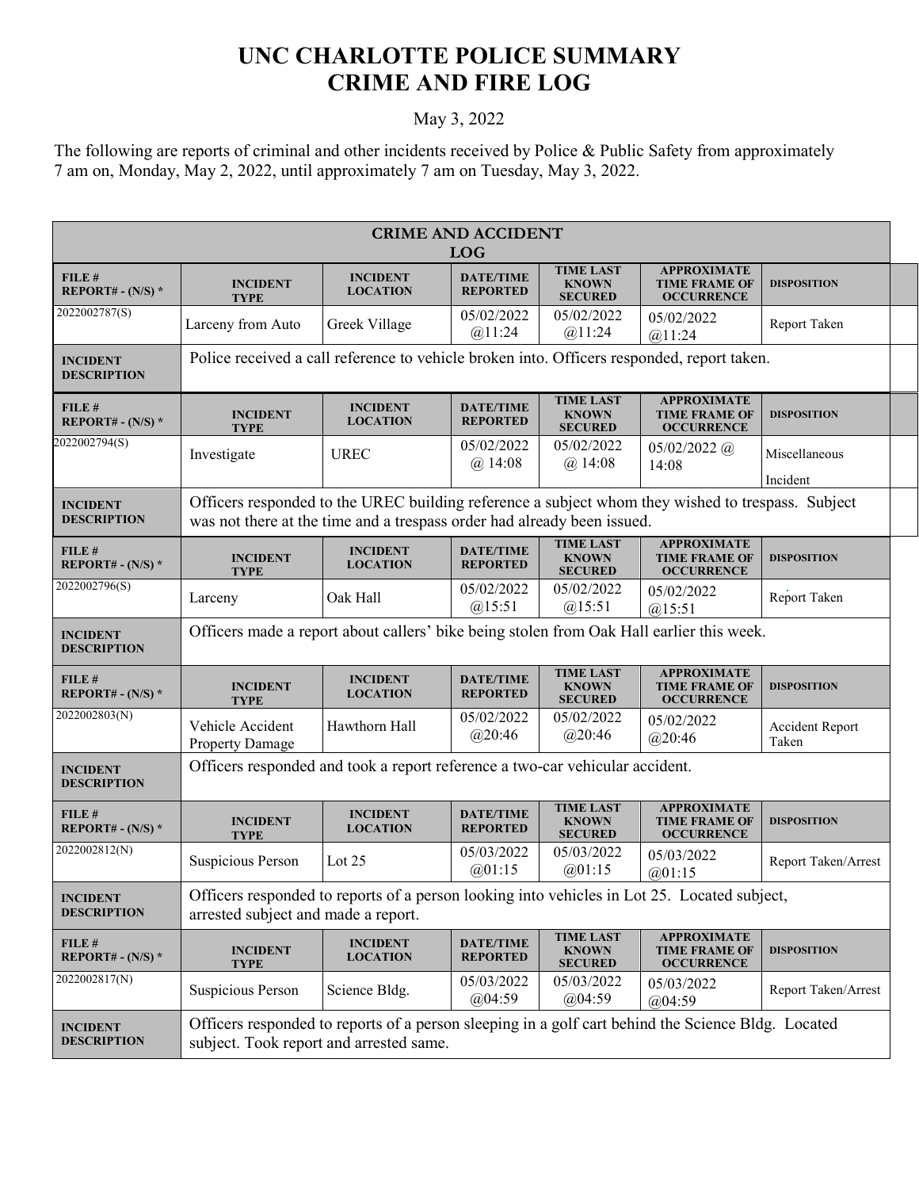## **UNC CHARLOTTE POLICE SUMMARY CRIME AND FIRE LOG**

## May 3, 2022

The following are reports of criminal and other incidents received by Police & Public Safety from approximately 7 am on, Monday, May 2, 2022, until approximately 7 am on Tuesday, May 3, 2022.

| <b>CRIME AND ACCIDENT</b><br><b>LOG</b> |                                                                                                                                                                              |                                    |                                     |                                                    |                                                                 |                           |  |
|-----------------------------------------|------------------------------------------------------------------------------------------------------------------------------------------------------------------------------|------------------------------------|-------------------------------------|----------------------------------------------------|-----------------------------------------------------------------|---------------------------|--|
| FILE #<br>REPORT# - $(N/S)$ *           | <b>INCIDENT</b><br><b>TYPE</b>                                                                                                                                               | <b>INCIDENT</b><br><b>LOCATION</b> | <b>DATE/TIME</b><br><b>REPORTED</b> | <b>TIME LAST</b><br><b>KNOWN</b><br><b>SECURED</b> | <b>APPROXIMATE</b><br><b>TIME FRAME OF</b><br><b>OCCURRENCE</b> | <b>DISPOSITION</b>        |  |
| 2022002787(S)                           | Larceny from Auto                                                                                                                                                            | Greek Village                      | 05/02/2022<br>@11:24                | 05/02/2022<br>@11:24                               | 05/02/2022<br>@11:24                                            | Report Taken              |  |
| <b>INCIDENT</b><br><b>DESCRIPTION</b>   | Police received a call reference to vehicle broken into. Officers responded, report taken.                                                                                   |                                    |                                     |                                                    |                                                                 |                           |  |
| FILE#<br>REPORT# - $(N/S)$ *            | <b>INCIDENT</b><br><b>TYPE</b>                                                                                                                                               | <b>INCIDENT</b><br><b>LOCATION</b> | <b>DATE/TIME</b><br><b>REPORTED</b> | <b>TIME LAST</b><br><b>KNOWN</b><br><b>SECURED</b> | <b>APPROXIMATE</b><br><b>TIME FRAME OF</b><br><b>OCCURRENCE</b> | <b>DISPOSITION</b>        |  |
| 2022002794(S)                           | Investigate                                                                                                                                                                  | <b>UREC</b>                        | 05/02/2022<br>$(a)$ 14:08           | 05/02/2022<br>$(a)$ 14:08                          | $05/02/2022$ (a)<br>14:08                                       | Miscellaneous<br>Incident |  |
| <b>INCIDENT</b><br><b>DESCRIPTION</b>   | Officers responded to the UREC building reference a subject whom they wished to trespass. Subject<br>was not there at the time and a trespass order had already been issued. |                                    |                                     |                                                    |                                                                 |                           |  |
| FILE#<br><b>REPORT# - (N/S) *</b>       | <b>INCIDENT</b><br><b>TYPE</b>                                                                                                                                               | <b>INCIDENT</b><br><b>LOCATION</b> | <b>DATE/TIME</b><br><b>REPORTED</b> | <b>TIME LAST</b><br><b>KNOWN</b><br><b>SECURED</b> | <b>APPROXIMATE</b><br><b>TIME FRAME OF</b><br><b>OCCURRENCE</b> | <b>DISPOSITION</b>        |  |
| 2022002796(S)                           | Larceny                                                                                                                                                                      | Oak Hall                           | 05/02/2022<br>@15:51                | 05/02/2022<br>@15:51                               | 05/02/2022<br>@15:51                                            | Report Taken              |  |
| <b>INCIDENT</b><br><b>DESCRIPTION</b>   | Officers made a report about callers' bike being stolen from Oak Hall earlier this week.                                                                                     |                                    |                                     |                                                    |                                                                 |                           |  |
| FILE#<br><b>REPORT# - (N/S) *</b>       | <b>INCIDENT</b><br><b>TYPE</b>                                                                                                                                               | <b>INCIDENT</b><br><b>LOCATION</b> | <b>DATE/TIME</b><br><b>REPORTED</b> | <b>TIME LAST</b><br><b>KNOWN</b><br><b>SECURED</b> | <b>APPROXIMATE</b><br><b>TIME FRAME OF</b><br><b>OCCURRENCE</b> | <b>DISPOSITION</b>        |  |
| 2022002803(N)                           | Vehicle Accident<br><b>Property Damage</b>                                                                                                                                   | Hawthorn Hall                      | 05/02/2022<br>@20:46                | 05/02/2022<br>@20:46                               | 05/02/2022<br>@20:46                                            | Accident Report<br>Taken  |  |
| <b>INCIDENT</b><br><b>DESCRIPTION</b>   | Officers responded and took a report reference a two-car vehicular accident.                                                                                                 |                                    |                                     |                                                    |                                                                 |                           |  |
| FILE#<br><b>REPORT#</b> - $(N/S)$ *     | <b>INCIDENT</b><br>TYPE                                                                                                                                                      | <b>INCIDENT</b><br><b>LOCATION</b> | <b>DATE/TIME</b><br><b>REPORTED</b> | <b>TIME LAST</b><br><b>KNOWN</b><br><b>SECURED</b> | <b>APPROXIMATE</b><br><b>TIME FRAME OF</b><br><b>OCCURRENCE</b> | <b>DISPOSITION</b>        |  |
| 2022002812(N)                           | Suspicious Person                                                                                                                                                            | Lot $25$                           | 05/03/2022<br>@01:15                | 05/03/2022<br>@01:15                               | 05/03/2022<br>@01:15                                            | Report Taken/Arrest       |  |
| <b>INCIDENT</b><br><b>DESCRIPTION</b>   | Officers responded to reports of a person looking into vehicles in Lot 25. Located subject,<br>arrested subject and made a report.                                           |                                    |                                     |                                                    |                                                                 |                           |  |
| FILE #<br>REPORT# - $(N/S)$ *           | <b>INCIDENT</b><br><b>TYPE</b>                                                                                                                                               | <b>INCIDENT</b><br><b>LOCATION</b> | <b>DATE/TIME</b><br><b>REPORTED</b> | TIME LAST<br><b>KNOWN</b><br><b>SECURED</b>        | <b>APPROXIMATE</b><br><b>TIME FRAME OF</b><br><b>OCCURRENCE</b> | <b>DISPOSITION</b>        |  |
| 2022002817(N)                           | Suspicious Person                                                                                                                                                            | Science Bldg.                      | 05/03/2022<br>@04:59                | 05/03/2022<br>@04:59                               | 05/03/2022<br>@04:59                                            | Report Taken/Arrest       |  |
| <b>INCIDENT</b><br><b>DESCRIPTION</b>   | Officers responded to reports of a person sleeping in a golf cart behind the Science Bldg. Located<br>subject. Took report and arrested same.                                |                                    |                                     |                                                    |                                                                 |                           |  |